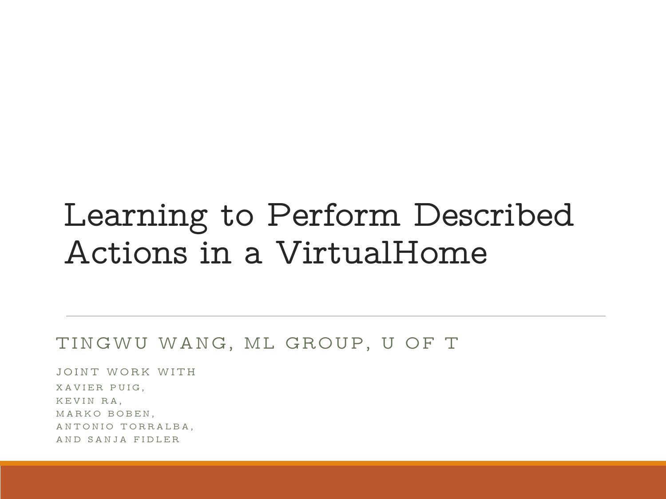#### Learning to Perform Described Actions in a VirtualHome

#### TINGWU WANG, ML GROUP, U OF T

JOINT WORK WITH XAVIER PUIG, KEVIN RA, MARKO BOBEN, ANTONIO TORRALBA, A N D S A N J A FID LER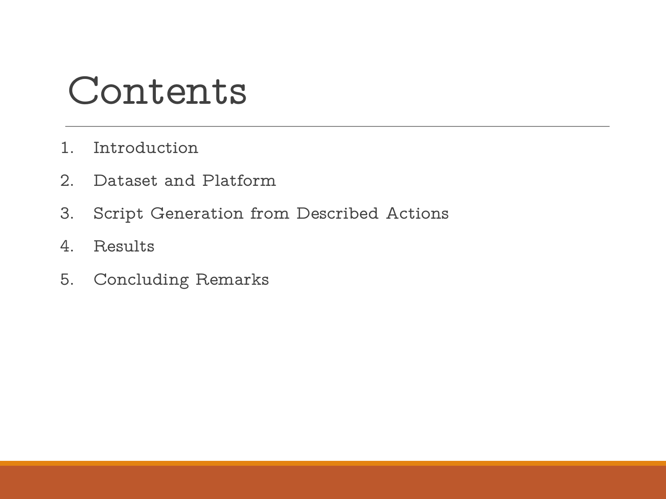### Contents

- 1. Introduction
- 2. Dataset and Platform
- 3. Script Generation from Described Actions
- 4. Results
- 5. Concluding Remarks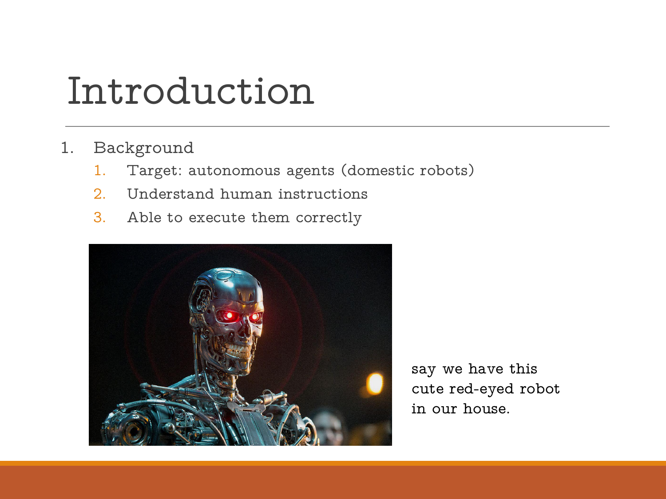### Introduction

- 1. Background
	- 1. Target: autonomous agents (domestic robots)
	- 2. Understand human instructions
	- 3. Able to execute them correctly



say we have this cute red-eyed robot in our house.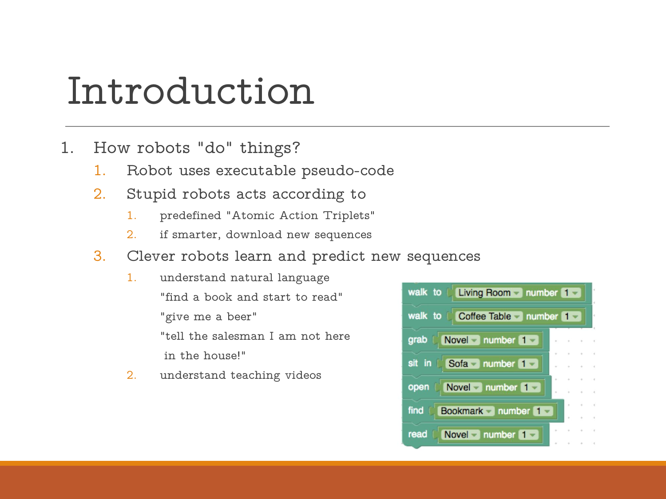### Introduction

- 1. How robots "do" things?
	- 1. Robot uses executable pseudo-code
	- 2. Stupid robots acts according to
		- 1. predefined "Atomic Action Triplets"
		- 2. if smarter, download new sequences
	- 3. Clever robots learn and predict new sequences
		- 1. understand natural language "find a book and start to read" "give me a beer" "tell the salesman I am not here grab C Novel number 1 in the house!"
		- 2. understand teaching videos

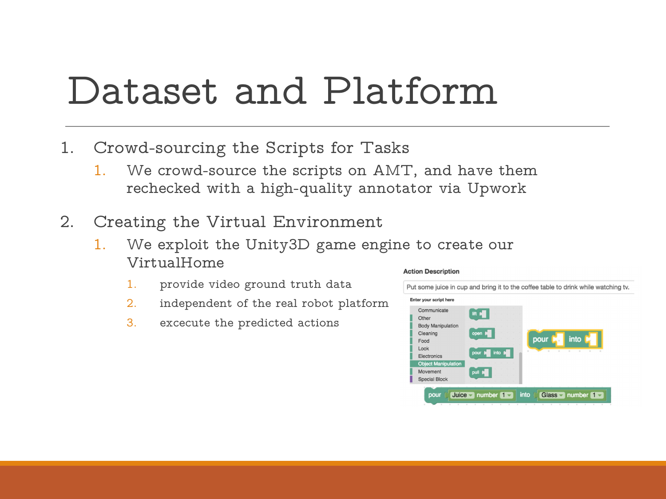### Dataset and Platform

- 1. Crowd-sourcing the Scripts for Tasks
	- 1. We crowd-source the scripts on AMT, and have them rechecked with a high-quality annotator via Upwork
- 2. Creating the Virtual Environment
	- 1. We exploit the Unity3D game engine to create our VirtualHome
		-
		- 2. independent of the real robot platform **Enter your script here**
		- 3. excecute the predicted actions and the stations and the station excecute the predicted actions and the station

#### **Action Description**

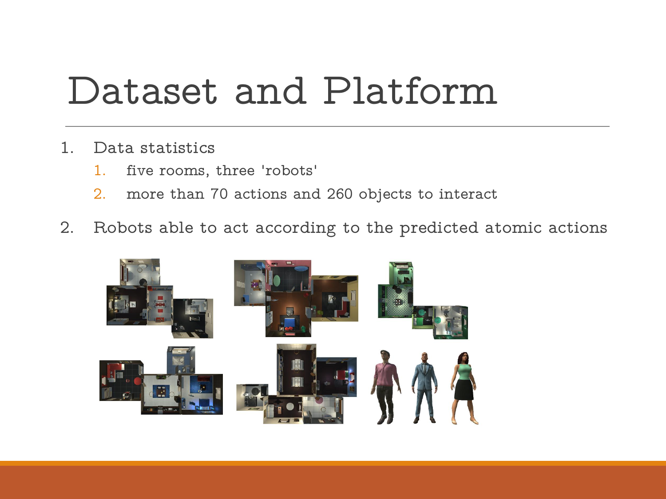## Dataset and Platform

- 1. Data statistics
	- 1. five rooms, three 'robots'
	- 2. more than 70 actions and 260 objects to interact
- 2. Robots able to act according to the predicted atomic actions

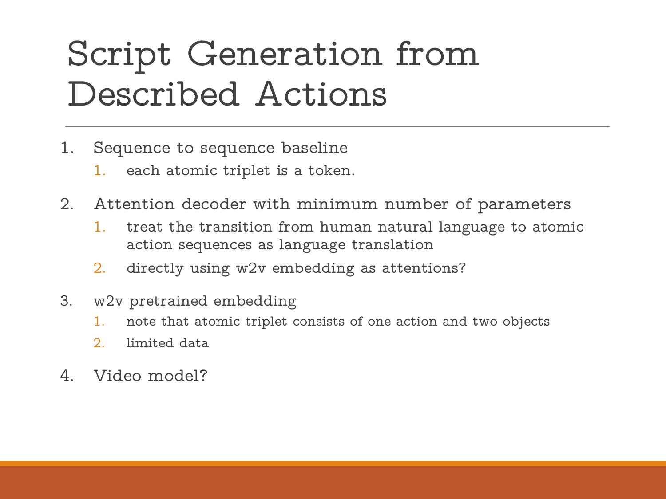## Script Generation from Described Actions

- 1. Sequence to sequence baseline
	- 1. each atomic triplet is a token.
- 2. Attention decoder with minimum number of parameters
	- 1. treat the transition from human natural language to atomic action sequences as language translation
	- 2. directly using w2v embedding as attentions?
- 3. w2v pretrained embedding
	- 1. note that atomic triplet consists of one action and two objects
	- 2. limited data
- 4. Video model?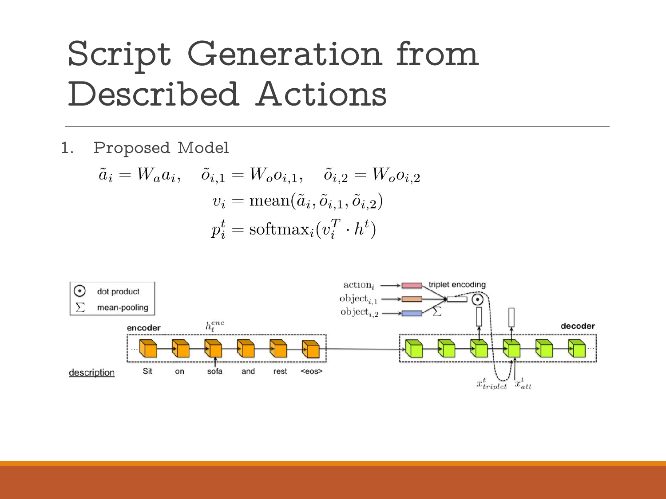### Script Generation from Described Actions

1. Proposed Model

$$
\tilde{a}_i = W_a a_i, \quad \tilde{o}_{i,1} = W_o o_{i,1}, \quad \tilde{o}_{i,2} = W_o o_{i,2}
$$

$$
v_i = \text{mean}(\tilde{a}_i, \tilde{o}_{i,1}, \tilde{o}_{i,2})
$$

$$
p_i^t = \text{softmax}_i(v_i^T \cdot h^t)
$$

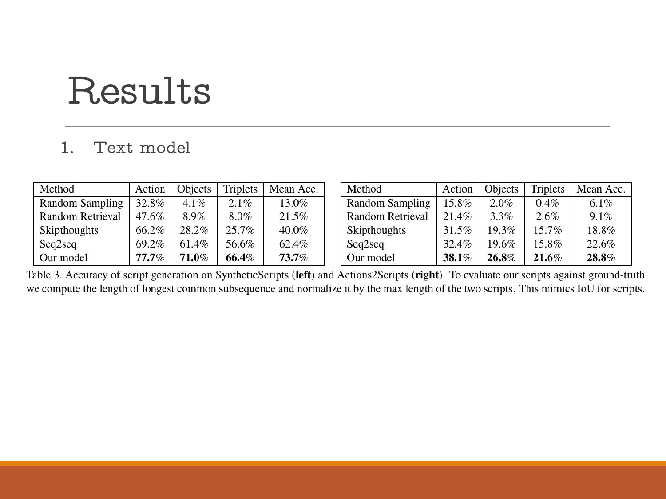### Results

#### 1. Text model

| Method                  | Action   | Objects  | <b>Triplets</b> | Mean Acc. | Method                  | Action | Objects | <b>Triplets</b> | Mean Acc. |
|-------------------------|----------|----------|-----------------|-----------|-------------------------|--------|---------|-----------------|-----------|
| <b>Random Sampling</b>  | 32.8%    | $4.1\%$  | 2.1%            | 13.0%     | <b>Random Sampling</b>  | 15.8%  | 2.0%    | 0.4%            | $6.1\%$   |
| <b>Random Retrieval</b> | 47.6%    | 8.9%     | $8.0\%$         | 21.5%     | <b>Random Retrieval</b> | 21.4%  | 3.3%    | 2.6%            | 9.1%      |
| Skipthoughts            | 66.2%    | 28.2%    | 25.7%           | 40.0%     | Skipthoughts            | 31.5%  | 19.3%   | $5.7\%$         | 18.8%     |
| Seq2seq                 | 69.2%    | 61.4%    | 56.6%           | 62.4%     | Seq2seq                 | 32.4%  | 19.6%   | 5.8%            | 22.6%     |
| Our model               | $77.7\%$ | $71.0\%$ | 66.4%           | 73.7%     | Our model               | 38.1%  | 26.8%   | $21.6\%$        | 28.8%     |

Table 3. Accuracy of script generation on SyntheticScripts (left) and Actions2Scripts (right). To evaluate our scripts against ground-truth we compute the length of longest common subsequence and normalize it by the max length of the two scripts. This mimics IoU for scripts.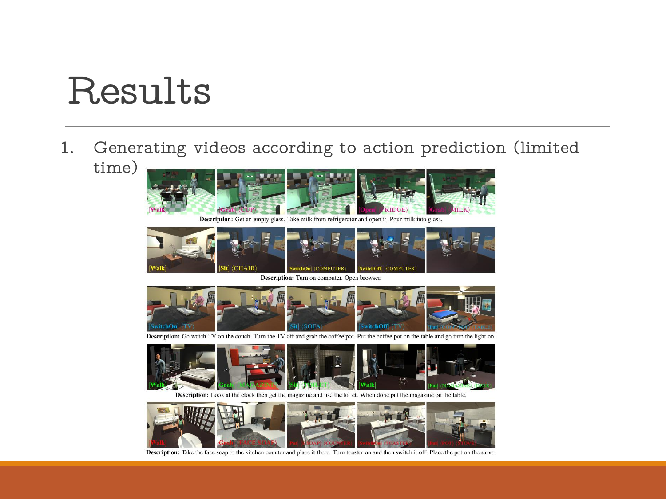### Results

1. Generating videos according to action prediction (limited time)



Description: Get an empty glass. Take milk from refrigerator and open it. Pour milk into glass.



Description: Turn on computer. Open browser.



Description: Go watch TV on the couch. Turn the TV off and grab the coffee pot. Put the coffee pot on the table and go turn the light on.



Description: Look at the clock then get the magazine and use the toilet. When done put the magazine on the table.



Description: Take the face soap to the kitchen counter and place it there. Turn toaster on and then switch it off. Place the pot on the stove.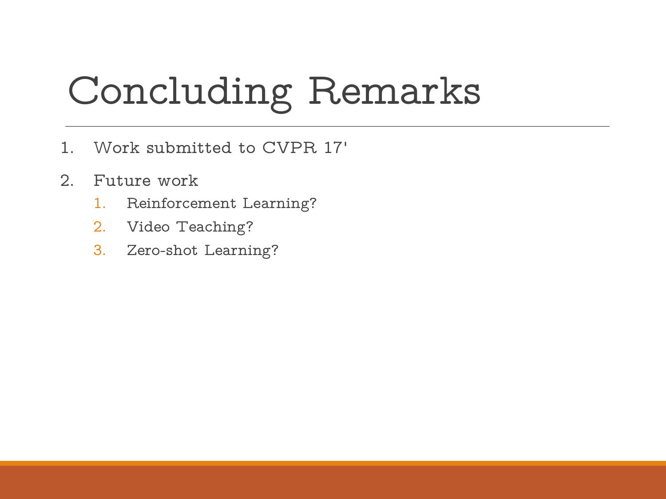# Concluding Remarks

- 1. Work submitted to CVPR 17'
- 2. Future work
	- 1. Reinforcement Learning?
	- 2. Video Teaching?
	- 3. Zero-shot Learning?